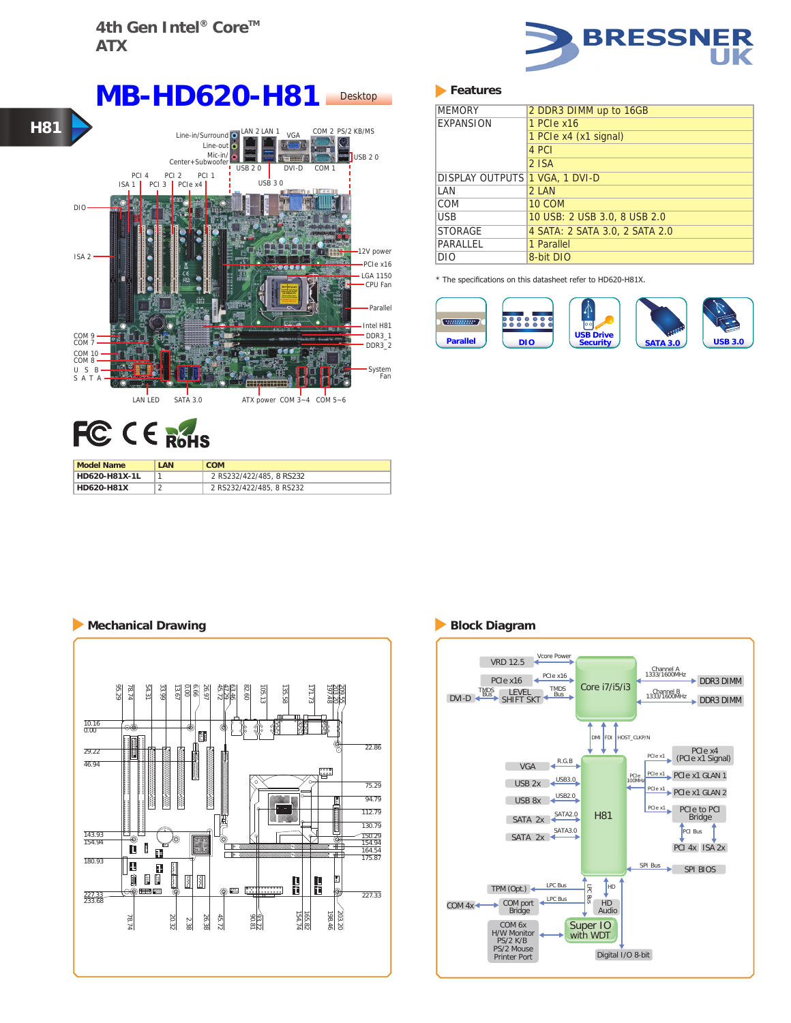

# FC CE ROHS

| <b>Model Name</b> | LAN | <b>COM</b>               |
|-------------------|-----|--------------------------|
| HD620-H81X-1L     |     | 2 RS232/422/485, 8 RS232 |
| <b>HD620-H81X</b> |     | 2 RS232/422/485, 8 RS232 |

### **Features**

| <b>MEMORY</b>                  | 2 DDR3 DIMM up to 16GB         |  |
|--------------------------------|--------------------------------|--|
| <b>EXPANSION</b>               | 1 PCIe x16                     |  |
|                                | 1 PCIe x4 (x1 signal)          |  |
|                                | 4 PCI                          |  |
|                                | $2$ ISA                        |  |
| DISPLAY OUTPUTS 1 VGA, 1 DVI-D |                                |  |
| I AN                           | 2 IAM                          |  |
| COM                            | <b>10 COM</b>                  |  |
| USB                            | 10 USB: 2 USB 3.0, 8 USB 2.0   |  |
| <b>STORAGE</b>                 | 4 SATA: 2 SATA 3.0, 2 SATA 2.0 |  |
| PARALLEL                       | 1 Parallel                     |  |
| DIO                            | 8-bit DIO                      |  |

\* The specifications on this datasheet refer to HD620-H81X.



## **Mechanical Drawing Block Diagram**